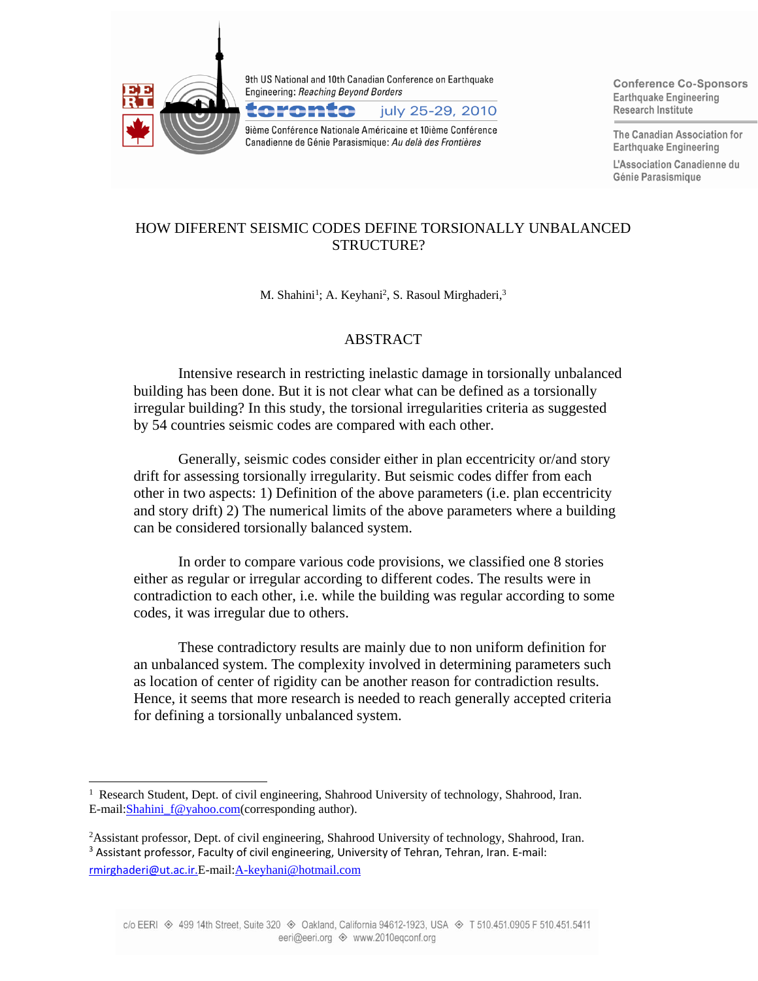

 $\overline{a}$ 

9th US National and 10th Canadian Conference on Earthquake **Engineering: Reaching Beyond Borders** 



9ième Conférence Nationale Américaine et 10ième Conférence Canadienne de Génie Parasismique: Au delà des Frontières

**Conference Co-Sponsors Earthquake Engineering** Research Institute

The Canadian Association for **Earthquake Engineering** 

L'Association Canadienne du Génie Parasismique

# HOW DIFERENT SEISMIC CODES DEFINE TORSIONALLY UNBALANCED STRUCTURE?

M. Shahini<sup>1</sup>; A. Keyhani<sup>2</sup>, S. Rasoul Mirghaderi,<sup>3</sup>

## ABSTRACT

Intensive research in restricting inelastic damage in torsionally unbalanced building has been done. But it is not clear what can be defined as a torsionally irregular building? In this study, the torsional irregularities criteria as suggested by 54 countries seismic codes are compared with each other.

Generally, seismic codes consider either in plan eccentricity or/and story drift for assessing torsionally irregularity. But seismic codes differ from each other in two aspects: 1) Definition of the above parameters (i.e. plan eccentricity and story drift) 2) The numerical limits of the above parameters where a building can be considered torsionally balanced system.

In order to compare various code provisions, we classified one 8 stories either as regular or irregular according to different codes. The results were in contradiction to each other, i.e. while the building was regular according to some codes, it was irregular due to others.

These contradictory results are mainly due to non uniform definition for an unbalanced system. The complexity involved in determining parameters such as location of center of rigidity can be another reason for contradiction results. Hence, it seems that more research is needed to reach generally accepted criteria for defining a torsionally unbalanced system.

<sup>&</sup>lt;sup>1</sup> Research Student, Dept. of civil engineering, Shahrood University of technology, Shahrood, Iran. E-mail[:Shahini\\_f@yahoo.com\(](mailto:Shahini_f@yahoo.com)corresponding author).

<sup>2</sup>Assistant professor, Dept. of civil engineering, Shahrood University of technology, Shahrood, Iran. <sup>3</sup> Assistant professor, Faculty of civil engineering, University of Tehran, Tehran, Iran. E-mail: [rmirghaderi@ut.ac.ir.](mailto:rmirghaderi@ut.ac.ir)E-mail[:A-keyhani@hotmail.com](mailto:A-keyhani@hotmail.com)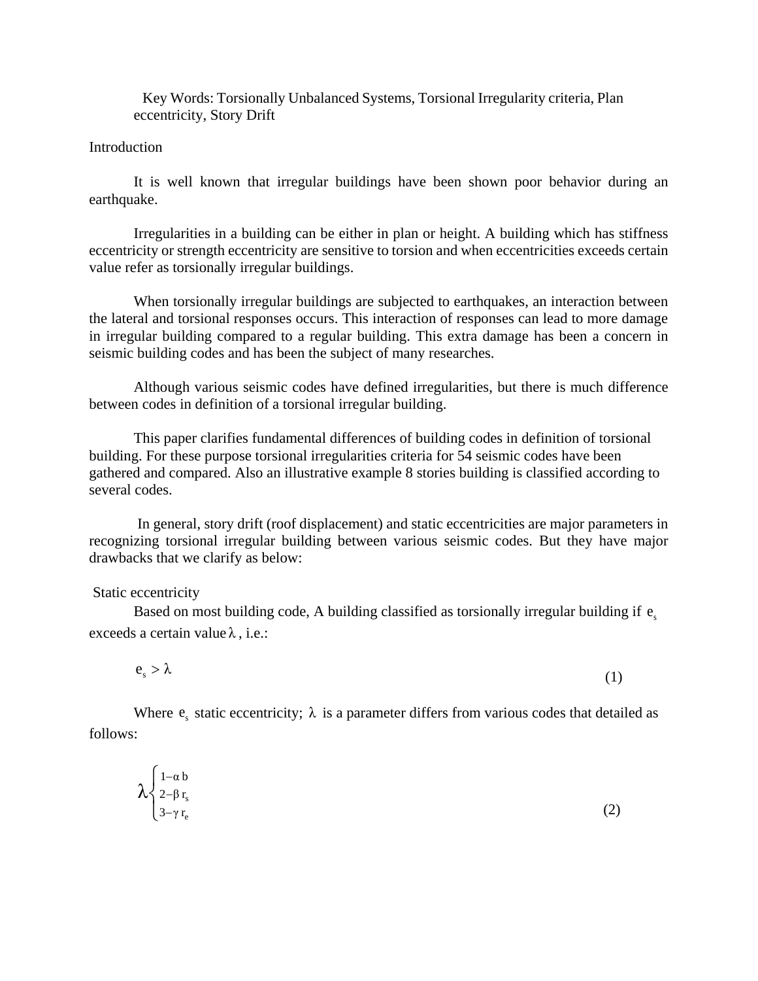Key Words: Torsionally Unbalanced Systems, Torsional Irregularity criteria, Plan eccentricity, Story Drift

#### Introduction

It is well known that irregular buildings have been shown poor behavior during an earthquake.

Irregularities in a building can be either in plan or height. A building which has stiffness eccentricity or strength eccentricity are sensitive to torsion and when eccentricities exceeds certain value refer as torsionally irregular buildings.

When torsionally irregular buildings are subjected to earthquakes, an interaction between the lateral and torsional responses occurs. This interaction of responses can lead to more damage in irregular building compared to a regular building. This extra damage has been a concern in seismic building codes and has been the subject of many researches.

Although various seismic codes have defined irregularities, but there is much difference between codes in definition of a torsional irregular building.

This paper clarifies fundamental differences of building codes in definition of torsional building. For these purpose torsional irregularities criteria for 54 seismic codes have been gathered and compared. Also an illustrative example 8 stories building is classified according to several codes.

In general, story drift (roof displacement) and static eccentricities are major parameters in recognizing torsional irregular building between various seismic codes. But they have major drawbacks that we clarify as below:

#### Static eccentricity

Based on most building code, A building classified as torsionally irregular building if  $e_s$ exceeds a certain value λ , i.e.:

$$
e_{s} > \lambda \tag{1}
$$

Where  $e_s$  static eccentricity;  $\lambda$  is a parameter differs from various codes that detailed as follows:

$$
\lambda \begin{cases} 1-\alpha & \text{if } \alpha \leq \alpha \\ 2-\beta & r_{\text{e}} \\ 3-\gamma & r_{\text{e}} \end{cases} \tag{2}
$$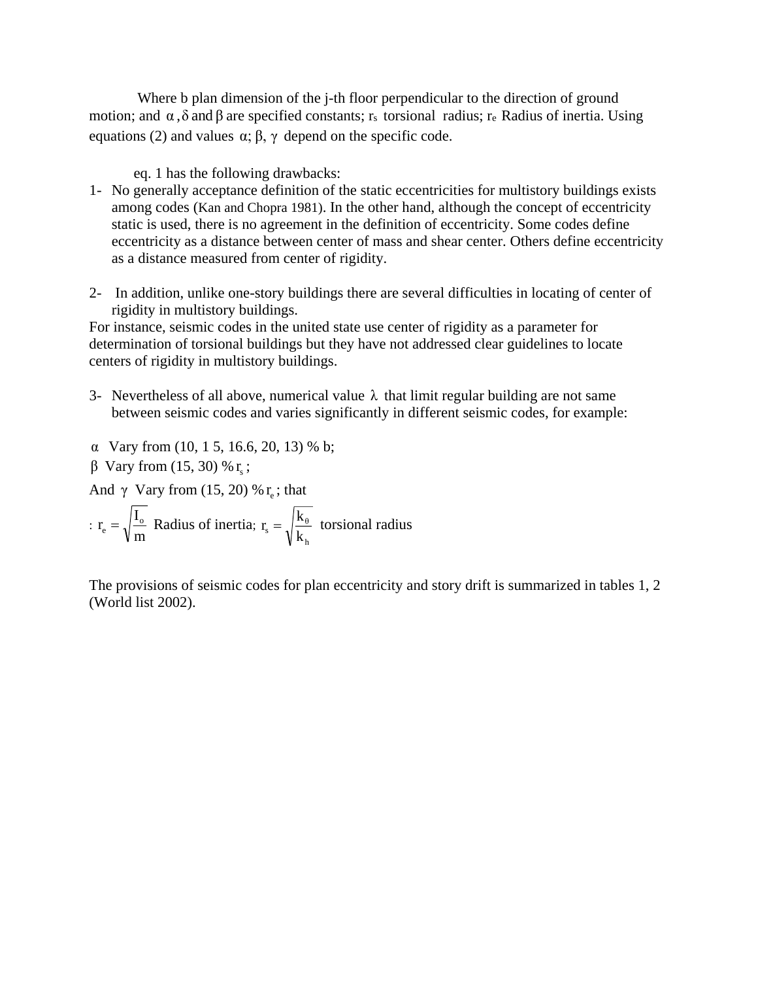Where b plan dimension of the j-th floor perpendicular to the direction of ground motion; and  $\alpha$ ,  $\delta$  and  $\beta$  are specified constants; r<sub>s</sub> torsional radius; r<sub>e</sub> Radius of inertia. Using equations (2) and values  $\alpha$ ;  $\beta$ ,  $\gamma$  depend on the specific code.

eq. 1 has the following drawbacks:

- 1- No generally acceptance definition of the static eccentricities for multistory buildings exists among codes (Kan and Chopra 1981). In the other hand, although the concept of eccentricity static is used, there is no agreement in the definition of eccentricity. Some codes define eccentricity as a distance between center of mass and shear center. Others define eccentricity as a distance measured from center of rigidity.
- 2- In addition, unlike one-story buildings there are several difficulties in locating of center of rigidity in multistory buildings.

For instance, seismic codes in the united state use center of rigidity as a parameter for determination of torsional buildings but they have not addressed clear guidelines to locate centers of rigidity in multistory buildings.

- 3- Nevertheless of all above, numerical value  $\lambda$  that limit regular building are not same between seismic codes and varies significantly in different seismic codes, for example:
- α Vary from (10, 1 5, 16.6, 20, 13) % b;
- $β$  Vary from (15, 30) % r<sub>s</sub>;

And  $\gamma$  Vary from (15, 20) %  $r_e$ ; that

: 
$$
r_e = \sqrt{\frac{I_o}{m}}
$$
 Radius of inertia;  $r_s = \sqrt{\frac{k_\theta}{k_h}}$  torsional radius

The provisions of seismic codes for plan eccentricity and story drift is summarized in tables 1, 2 (World list 2002).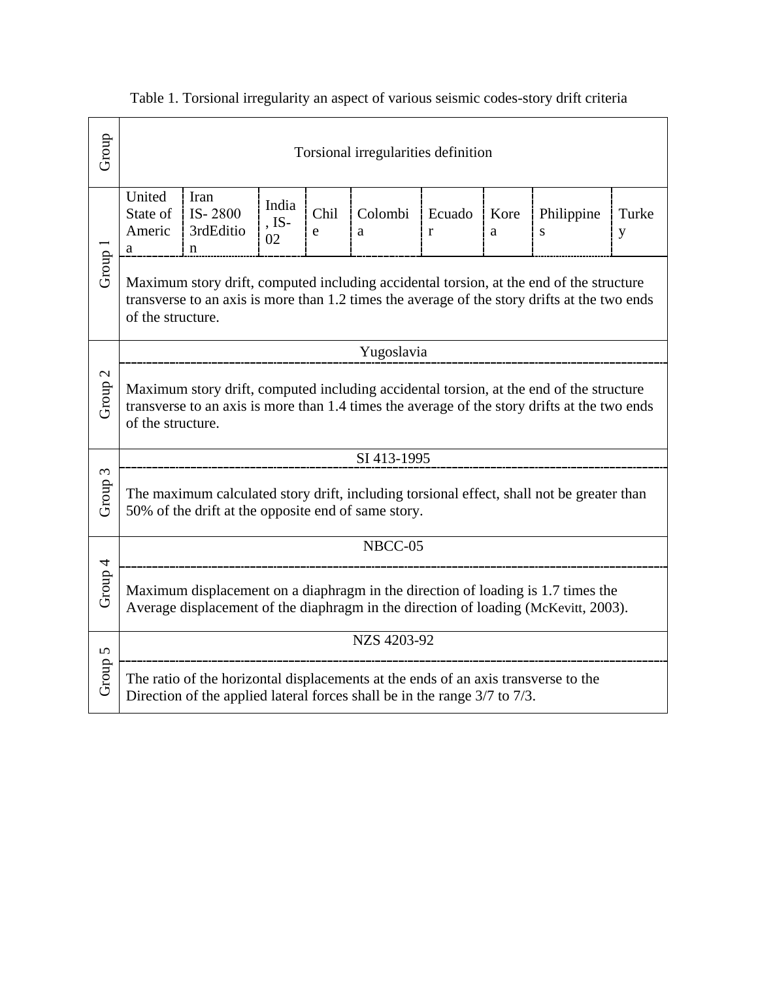| Group                                                                                                                                                                              | Torsional irregularities definition                                                                                                                                                                          |                                             |                        |           |              |             |           |                                                                                                                                                                                         |            |  |  |
|------------------------------------------------------------------------------------------------------------------------------------------------------------------------------------|--------------------------------------------------------------------------------------------------------------------------------------------------------------------------------------------------------------|---------------------------------------------|------------------------|-----------|--------------|-------------|-----------|-----------------------------------------------------------------------------------------------------------------------------------------------------------------------------------------|------------|--|--|
|                                                                                                                                                                                    | United<br>State of<br>Americ<br>a                                                                                                                                                                            | Iran<br>IS-2800<br>3rdEditio<br>$\mathbf n$ | India<br>$,$ IS-<br>02 | Chil<br>e | Colombi<br>a | Ecuado<br>r | Kore<br>a | Philippine<br>${\bf S}$                                                                                                                                                                 | Turke<br>y |  |  |
| Group 1                                                                                                                                                                            | of the structure.                                                                                                                                                                                            |                                             |                        |           |              |             |           | Maximum story drift, computed including accidental torsion, at the end of the structure<br>transverse to an axis is more than 1.2 times the average of the story drifts at the two ends |            |  |  |
|                                                                                                                                                                                    |                                                                                                                                                                                                              | Yugoslavia                                  |                        |           |              |             |           |                                                                                                                                                                                         |            |  |  |
| $\mathcal{L}$<br>Group <sup>:</sup>                                                                                                                                                | Maximum story drift, computed including accidental torsion, at the end of the structure<br>transverse to an axis is more than 1.4 times the average of the story drifts at the two ends<br>of the structure. |                                             |                        |           |              |             |           |                                                                                                                                                                                         |            |  |  |
|                                                                                                                                                                                    | SI 413-1995                                                                                                                                                                                                  |                                             |                        |           |              |             |           |                                                                                                                                                                                         |            |  |  |
| Group 3                                                                                                                                                                            | The maximum calculated story drift, including torsional effect, shall not be greater than<br>50% of the drift at the opposite end of same story.                                                             |                                             |                        |           |              |             |           |                                                                                                                                                                                         |            |  |  |
|                                                                                                                                                                                    |                                                                                                                                                                                                              | NBCC-05                                     |                        |           |              |             |           |                                                                                                                                                                                         |            |  |  |
| Group 4<br>Maximum displacement on a diaphragm in the direction of loading is 1.7 times the<br>Average displacement of the diaphragm in the direction of loading (McKevitt, 2003). |                                                                                                                                                                                                              |                                             |                        |           |              |             |           |                                                                                                                                                                                         |            |  |  |
|                                                                                                                                                                                    |                                                                                                                                                                                                              | NZS 4203-92                                 |                        |           |              |             |           |                                                                                                                                                                                         |            |  |  |
| Group 5                                                                                                                                                                            | The ratio of the horizontal displacements at the ends of an axis transverse to the<br>Direction of the applied lateral forces shall be in the range 3/7 to 7/3.                                              |                                             |                        |           |              |             |           |                                                                                                                                                                                         |            |  |  |

Table 1. Torsional irregularity an aspect of various seismic codes-story drift criteria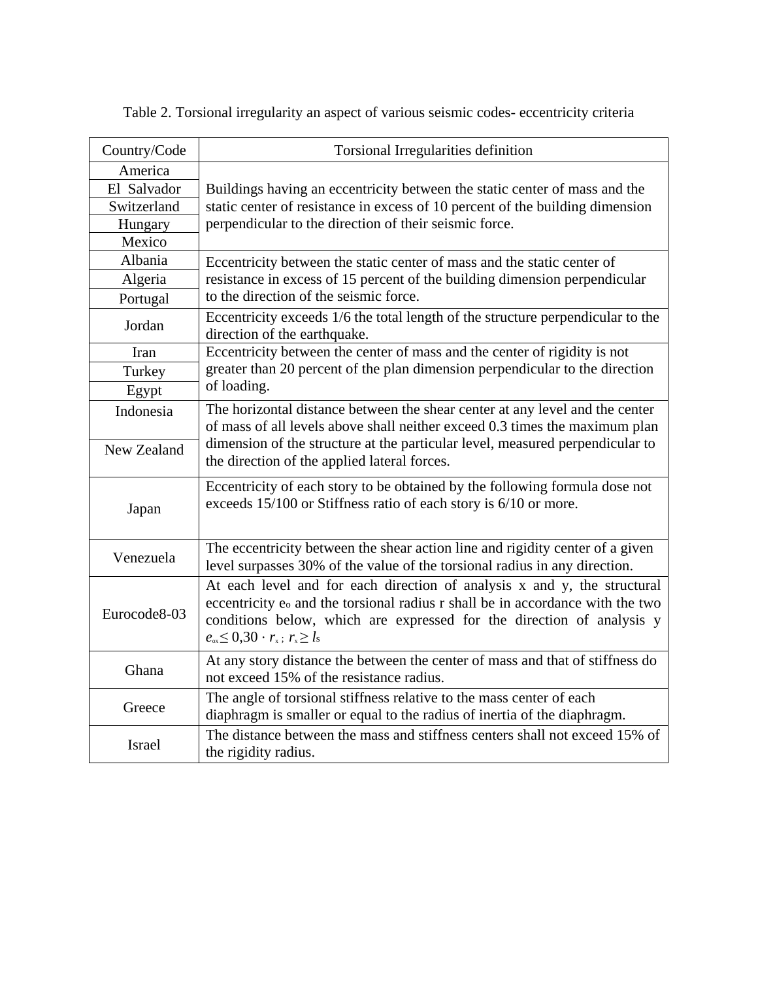| Country/Code  | Torsional Irregularities definition                                                                                                                                                                                                                                                                                |  |  |  |  |  |  |  |
|---------------|--------------------------------------------------------------------------------------------------------------------------------------------------------------------------------------------------------------------------------------------------------------------------------------------------------------------|--|--|--|--|--|--|--|
| America       |                                                                                                                                                                                                                                                                                                                    |  |  |  |  |  |  |  |
| El Salvador   | Buildings having an eccentricity between the static center of mass and the<br>static center of resistance in excess of 10 percent of the building dimension<br>perpendicular to the direction of their seismic force.                                                                                              |  |  |  |  |  |  |  |
| Switzerland   |                                                                                                                                                                                                                                                                                                                    |  |  |  |  |  |  |  |
| Hungary       |                                                                                                                                                                                                                                                                                                                    |  |  |  |  |  |  |  |
| Mexico        |                                                                                                                                                                                                                                                                                                                    |  |  |  |  |  |  |  |
| Albania       | Eccentricity between the static center of mass and the static center of                                                                                                                                                                                                                                            |  |  |  |  |  |  |  |
| Algeria       | resistance in excess of 15 percent of the building dimension perpendicular                                                                                                                                                                                                                                         |  |  |  |  |  |  |  |
| Portugal      | to the direction of the seismic force.                                                                                                                                                                                                                                                                             |  |  |  |  |  |  |  |
| Jordan        | Eccentricity exceeds 1/6 the total length of the structure perpendicular to the<br>direction of the earthquake.                                                                                                                                                                                                    |  |  |  |  |  |  |  |
| Iran          | Eccentricity between the center of mass and the center of rigidity is not                                                                                                                                                                                                                                          |  |  |  |  |  |  |  |
| Turkey        | greater than 20 percent of the plan dimension perpendicular to the direction                                                                                                                                                                                                                                       |  |  |  |  |  |  |  |
| Egypt         | of loading.                                                                                                                                                                                                                                                                                                        |  |  |  |  |  |  |  |
| Indonesia     | The horizontal distance between the shear center at any level and the center<br>of mass of all levels above shall neither exceed 0.3 times the maximum plan                                                                                                                                                        |  |  |  |  |  |  |  |
| New Zealand   | dimension of the structure at the particular level, measured perpendicular to<br>the direction of the applied lateral forces.                                                                                                                                                                                      |  |  |  |  |  |  |  |
| Japan         | Eccentricity of each story to be obtained by the following formula dose not<br>exceeds 15/100 or Stiffness ratio of each story is 6/10 or more.                                                                                                                                                                    |  |  |  |  |  |  |  |
| Venezuela     | The eccentricity between the shear action line and rigidity center of a given<br>level surpasses 30% of the value of the torsional radius in any direction.                                                                                                                                                        |  |  |  |  |  |  |  |
| Eurocode8-03  | At each level and for each direction of analysis x and y, the structural<br>eccentricity e <sub>o</sub> and the torsional radius r shall be in accordance with the two<br>conditions below, which are expressed for the direction of analysis y<br>$e_{\infty} \leq 0.30 \cdot r_{\infty}$ ; $r_{\infty} \geq l_s$ |  |  |  |  |  |  |  |
| Ghana         | At any story distance the between the center of mass and that of stiffness do<br>not exceed 15% of the resistance radius.                                                                                                                                                                                          |  |  |  |  |  |  |  |
| Greece        | The angle of torsional stiffness relative to the mass center of each<br>diaphragm is smaller or equal to the radius of inertia of the diaphragm.                                                                                                                                                                   |  |  |  |  |  |  |  |
| <b>Israel</b> | The distance between the mass and stiffness centers shall not exceed 15% of<br>the rigidity radius.                                                                                                                                                                                                                |  |  |  |  |  |  |  |

Table 2. Torsional irregularity an aspect of various seismic codes- eccentricity criteria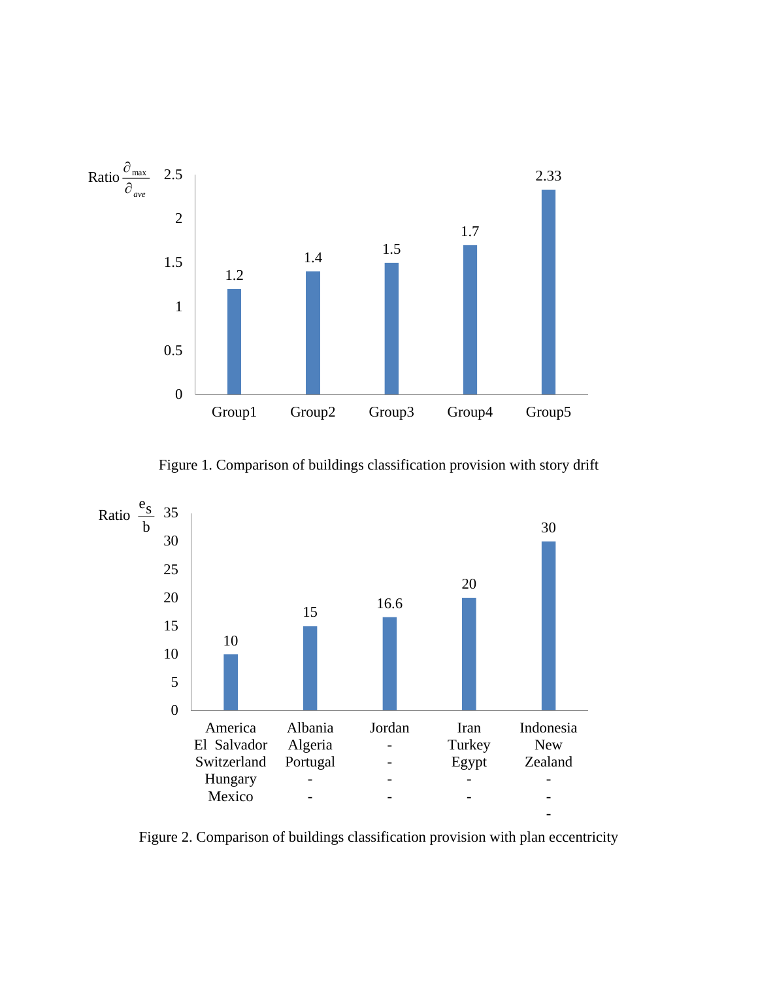

Figure 1. Comparison of buildings classification provision with story drift



Figure 2. Comparison of buildings classification provision with plan eccentricity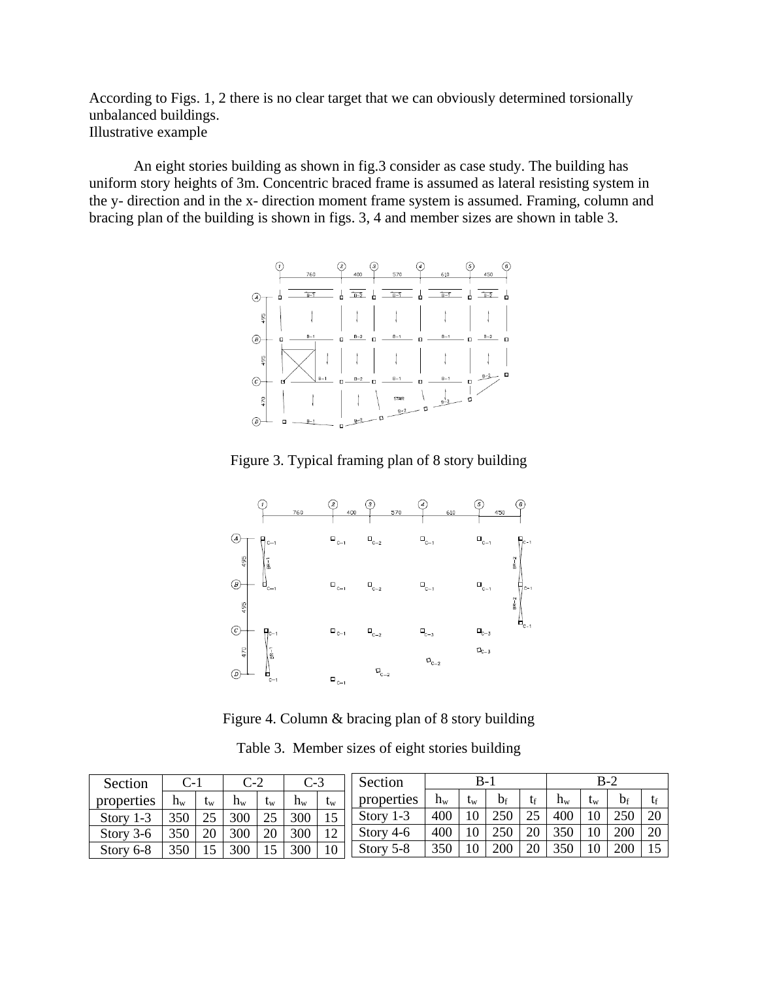According to Figs. 1, 2 there is no clear target that we can obviously determined torsionally unbalanced buildings. Illustrative example

An eight stories building as shown in fig.3 consider as case study. The building has uniform story heights of 3m. Concentric braced frame is assumed as lateral resisting system in the y- direction and in the x- direction moment frame system is assumed. Framing, column and bracing plan of the building is shown in figs. 3, 4 and member sizes are shown in table 3.



Figure 3. Typical framing plan of 8 story building



Figure 4. Column & bracing plan of 8 story building

| Section          | - 10                      |                           | $C-2$   |                           | ت-ب   |                           | Section          |         | В-          |       |    |         | $B-2$ |                |    |
|------------------|---------------------------|---------------------------|---------|---------------------------|-------|---------------------------|------------------|---------|-------------|-------|----|---------|-------|----------------|----|
| properties       | $\mathtt{h}_{\mathrm{w}}$ | $\mathbf{t}_{\mathrm{W}}$ | $h_{w}$ | $\mathbf{t}_{\mathrm{W}}$ | $h_w$ | $\mathbf{t}_{\mathrm{W}}$ | properties       | $h_{w}$ | $t_{\rm w}$ | $b_f$ | tf | $h_{w}$ | w     | $\mathsf{D}$ f |    |
| Story<br>ر- ا    | 350                       |                           | 300     |                           | 300   | $\epsilon$                | $1 - 3$<br>Story | 400     | 10          | 250   |    | 400     | 1 Ο   |                | 20 |
| Storv<br>3-6     | 350                       | 20                        | 300     | 20                        | 300   | $1^{\circ}$<br>∸          | Story $4-6$      | 400     | 10          | 250   |    |         |       | 200            | 20 |
| $6 - 8$<br>Story | 350                       |                           | 300     | IJ                        | 300   | 10                        | Story 5-8        | 350     |             | 200   |    |         |       | 200            |    |

Table 3. Member sizes of eight stories building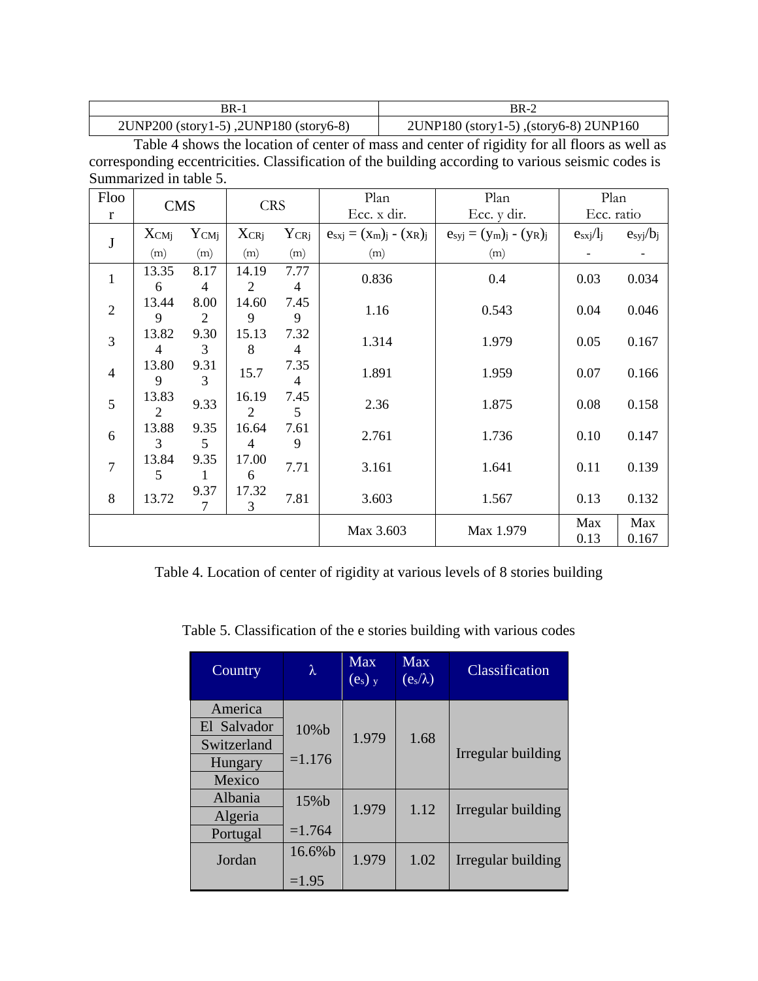| 3R-1                                   | BR-2                                   |
|----------------------------------------|----------------------------------------|
| 2UNP200 (story1-5), 2UNP180 (story6-8) | 2UNP180 (story1-5), (story6-8) 2UNP160 |

Table 4 shows the location of center of mass and center of rigidity for all floors as well as corresponding eccentricities. Classification of the building according to various seismic codes is Summarized in table 5.

| Floo           | <b>CMS</b>     |                | <b>CRS</b> |                | Plan<br>Plan                  |                             | Plan          |              |  |
|----------------|----------------|----------------|------------|----------------|-------------------------------|-----------------------------|---------------|--------------|--|
| $\mathbf{r}$   |                |                |            |                | Ecc. x dir.                   | Ecc. y dir.                 |               | Ecc. ratio   |  |
| $\bf J$        | $X_{CMj}$      | $Y_{CMj}$      | $X_{CRj}$  | $Y_{CRj}$      | $e_{sxj} = (x_m)_j - (x_R)_j$ | $e_{s} = (y_m)_j - (y_R)_j$ | $e_{sxj}/l_j$ | $e_{s}y/b_j$ |  |
|                | (m)            | (m)            | (m)        | (m)            | (m)                           | (m)                         |               |              |  |
| $\mathbf{1}$   | 13.35          | 8.17           | 14.19      | 7.77           | 0.836                         | 0.4                         | 0.03          | 0.034        |  |
|                | 6              | $\overline{4}$ | 2          | $\overline{4}$ |                               |                             |               |              |  |
| $\mathbf{2}$   | 13.44          | 8.00           | 14.60      | 7.45           | 1.16                          | 0.543                       | 0.04          | 0.046        |  |
|                | 9              | 2              | 9          | 9              |                               |                             |               |              |  |
| 3              | 13.82          | 9.30           | 15.13      | 7.32           | 1.314                         | 1.979                       | 0.05          | 0.167        |  |
|                | 4              | 3              | 8          | $\overline{4}$ |                               |                             |               |              |  |
| $\overline{4}$ | 13.80          | 9.31           | 15.7       | 7.35           | 1.891                         | 1.959                       | 0.07          | 0.166        |  |
|                | 9              | 3              |            | $\overline{4}$ |                               |                             |               |              |  |
| 5              | 13.83          | 9.33           | 16.19      | 7.45           | 2.36                          | 1.875                       | 0.08          | 0.158        |  |
|                | $\overline{2}$ |                | 2          | 5              |                               |                             |               |              |  |
| 6              | 13.88          | 9.35           | 16.64      | 7.61           | 2.761                         | 1.736                       | 0.10          | 0.147        |  |
|                | 3              | 5              | 4          | 9              |                               |                             |               |              |  |
| $\overline{7}$ | 13.84          | 9.35           | 17.00      | 7.71           | 3.161                         | 1.641                       | 0.11          |              |  |
|                | 5              | 1              | 6          |                |                               |                             |               | 0.139        |  |
| 8              | 13.72          | 9.37           | 17.32      | 7.81           |                               |                             |               |              |  |
|                |                | 7              | 3          |                | 3.603                         | 1.567                       | 0.13          | 0.132        |  |
|                |                |                |            |                |                               |                             | Max           | Max          |  |
|                |                |                |            |                | Max 3.603                     | Max 1.979                   | 0.13          | 0.167        |  |

Table 4. Location of center of rigidity at various levels of 8 stories building

Table 5. Classification of the e stories building with various codes

| Country        | λ        | Max<br>$(e_s)$ y | Max<br>$(e_s/\lambda)$ | Classification     |
|----------------|----------|------------------|------------------------|--------------------|
| America        |          |                  |                        |                    |
| El Salvador    | 10%b     |                  |                        |                    |
| Switzerland    |          | 1.979            | 1.68                   | Irregular building |
| Hungary        | $=1.176$ |                  |                        |                    |
| Mexico         |          |                  |                        |                    |
| <b>Albania</b> | 15%b     |                  |                        |                    |
| Algeria        |          | 1.979            | 1.12                   | Irregular building |
| Portugal       | $=1.764$ |                  |                        |                    |
| Jordan         | 16.6%b   | 1.979            | 1.02                   | Irregular building |
|                | $=1.95$  |                  |                        |                    |